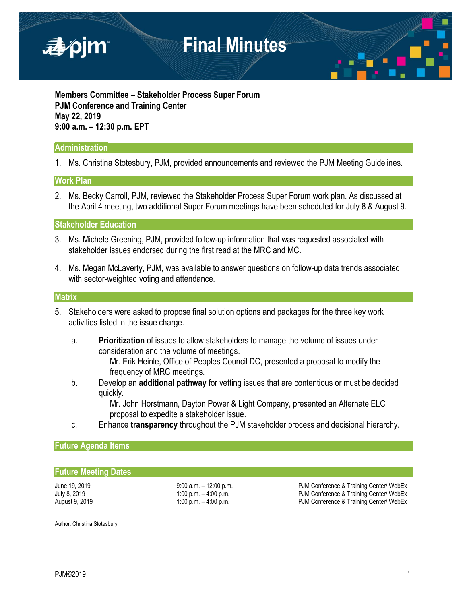

**Members Committee – Stakeholder Process Super Forum PJM Conference and Training Center May 22, 2019 9:00 a.m. – 12:30 p.m. EPT**

## **Administration**

1. Ms. Christina Stotesbury, PJM, provided announcements and reviewed the PJM Meeting Guidelines.

## **Work Plan**

2. Ms. Becky Carroll, PJM, reviewed the Stakeholder Process Super Forum work plan. As discussed at the April 4 meeting, two additional Super Forum meetings have been scheduled for July 8 & August 9.

**Stakeholder Education**

- 3. Ms. Michele Greening, PJM, provided follow-up information that was requested associated with stakeholder issues endorsed during the first read at the MRC and MC.
- 4. Ms. Megan McLaverty, PJM, was available to answer questions on follow-up data trends associated with sector-weighted voting and attendance.

#### **Matrix**

- 5. Stakeholders were asked to propose final solution options and packages for the three key work activities listed in the issue charge.
	- a. **Prioritization** of issues to allow stakeholders to manage the volume of issues under consideration and the volume of meetings.

Mr. Erik Heinle, Office of Peoples Council DC, presented a proposal to modify the frequency of MRC meetings.

b. Develop an **additional pathway** for vetting issues that are contentious or must be decided quickly.

> Mr. John Horstmann, Dayton Power & Light Company, presented an Alternate ELC proposal to expedite a stakeholder issue.

c. Enhance **transparency** throughout the PJM stakeholder process and decisional hierarchy.

## **Future Agenda Items**

#### **Future Meeting Dates**

June 19, 2019 **19:00 a.m.** – 12:00 p.m. **PJM Conference & Training Center/ WebEx** July 8, 2019 **1:00 p.m.** – 4:00 p.m. **1:00 p.m.** PJM Conference & Training Center/ WebEx August 9, 2019 1:00 p.m. – 4:00 p.m. – 4:00 p.m. PJM Conference & Training Center/ WebEx

Author: Christina Stotesbury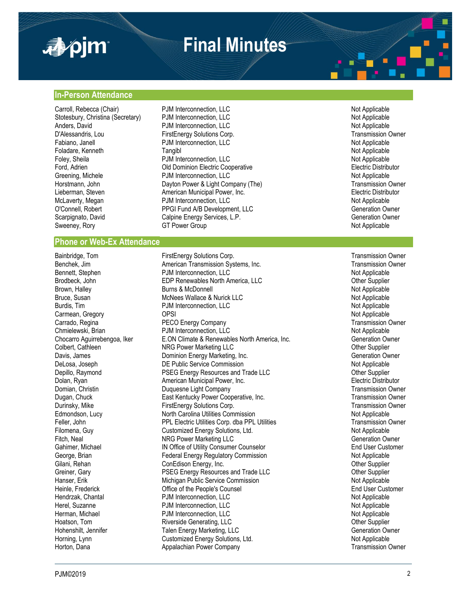

# **Final Minutes**

#### **In-Person Attendance**

Carroll, Rebecca (Chair) **PJM Interconnection, LLC** Not Applicable Not Applicable Anders, David **PJM Interconnection, LLC**<br> **D'Alessandris.** Lou **Primes Explorers** FirstEnergy Solutions Corp

#### **Phone or Web-Ex Attendance**

Stotesbury, Christina (Secretary) and PJM Interconnection, LLC<br>
Anders, David Mot Applicable POM Interconnection, LLC D'Alessandris, Lou **FirstEnergy Solutions Corp.** Transmission Owner<br>
Fabiano, Janell **Fabiano, Interconnection, LC** Transmission Owner<br>
POM Interconnection, LLC PJM Interconnection, LLC Foladare, Kenneth **Tangibl** Tangibl Not Applicable Not Applicable Foley, Sheila **PJM Interconnection, LLC PJM Interconnection, LLC** Not Applicable Ford, Adrien **Electric Distributor** Comminion Electric Cooperative **Electric Distributor** Electric Distributor Greening, Michele **Not Applicable** PJM Interconnection, LLC Not Applicable Not Applicable Horstmann, John **Dayton Power & Light Company (The)** Transmission Owner Lieberman, Steven and American Municipal Power, Inc. The Steven and Selectric Distributor Controller and American Municipal Power, Inc. The Selectric Distributor McLaverty, Megan and PJM Interconnection, LLC PJM Interconnection, LLC Not Applicable O'Connell, Robert **PPGI Fund A/B Development, LLC** Generation Owner Scarpignato, David Calpine Energy Services, L.P. Generation Owner Generation Owner Sweeney, Rory **GT Power Group** GT Power Group Not Applicable

Bainbridge, Tom **FirstEnergy Solutions Corp.**<br>Benchek. Jim **FirstEnergy Solutions Corp.** Transmission Owner Corp. Transmission Owner American Transmission Systems, Inc. Bennett, Stephen **Bullet Connection, CLC** Broadconnection, LLC<br>Brodbeck, John **PDP Renewables North America, LLC** Connection of the Supplier EDP Renewables North America, LLC **Communist Constructs** Other Supplier Brown, Halley **Burns & McDonnell** Not Applicable Not Applicable Bruce, Susan **McNees Wallace & Nurick LLC** Not Applicable Not Applicable Burdis, Tim **Example 2018** PDM Interconnection, LLC Not Applicable Not Applicable Carmean, Gregory OPSI Not Applicable Carrado, Regina **PECO Energy Company Transmission Owner** Transmission Owner Chmielewski, Brian **PROCETT CONSTANDIER EXAM Interconnection, LLC** Not Applicable Not Applicable<br>Chocarro Aguirrebengoa, Iker **ELON** Climate & Renewables North America, Inc. **Concept Conferention Cyner** E.ON Climate & Renewables North America, Inc. Colbert, Cathleen **NRG Power Marketing LLC NRG Power Marketing LLC Colbert, Cathleen** Other Supplier Davis, James **Disk and Science Communist Communist Communist Communist Communist Communist Communist Communist Communist Communist Communist Communist Communist Communist Communist Communist Communist Communist Communist C** DeLosa, Joseph **DE Public Service Commission** Not Applicable Not Applicable Depillo, Raymond **PSEG Energy Resources and Trade LLC Properties Account Container Supplier** Other Supplier Dolan, Ryan **American Municipal Power, Inc. American Municipal Power**, Inc. **Electric Distributor** Electric Distributor Domian, Christin **Duquesne Light Company Transmission Owner** Transmission Owner Dugan, Chuck **East Kentucky Power Cooperative, Inc.** Transmission Owner Cooperative, Inc. Durinsky, Mike **FirstEnergy Solutions Corp.** Transmission Owner Edmondson, Lucy **North Carolina Utilities Commission** Not Applicable Not Applicable Feller, John **PPL Electric Utilities Corp.** dba PPL Utilities Transmission Owner Filomena, Guy **Customized Energy Solutions, Ltd.** Not Applicable Not Applicable Fitch, Neal **NRG Power Marketing LLC** CHA NAG POWER AT A Generation Owner Gahimer, Michael **IN Office of Utility Consumer Counselor International Consumer Counselor** End User Customer George, Brian **Federal Energy Regulatory Commission** Commission Federal Energy Regulatory Commission Commission Commission Commission Commission Commission Commission Commission Commission Commission Commission Commission ConEdison Energy, Inc. Greiner, Gary **Exercise State Heart Convertse Convertse And Trade LLC** Christener, Carl Christener Supplier<br>Princes and Trade Commission Christener Commission<br>Not Applicable Hanser, Erik Michigan Public Service Commission Heinle, Frederick **End User Customer** Office of the People's Counsel **End User Customer** End User Customer Hendrzak, Chantal **Example 2018** PJM Interconnection, LLC Not Applicable Not Applicable Herel, Suzanne **Not Applicable** PJM Interconnection, LLC Not Applicable Not Applicable Herman, Michael **PJM Interconnection, LLC** Not Applicable Not Applicable Hoatson, Tom **Riverside Generating, LLC Container Supplier** Other Supplier Hohenshilt, Jennifer **Talen Energy Marketing, LLC** Generation Owner Horning, Lynn **Not Applicable** Customized Energy Solutions, Ltd. Not Applicable Not Applicable Horton, Dana **Appalachian Power Company Transmission Owner** Transmission Owner